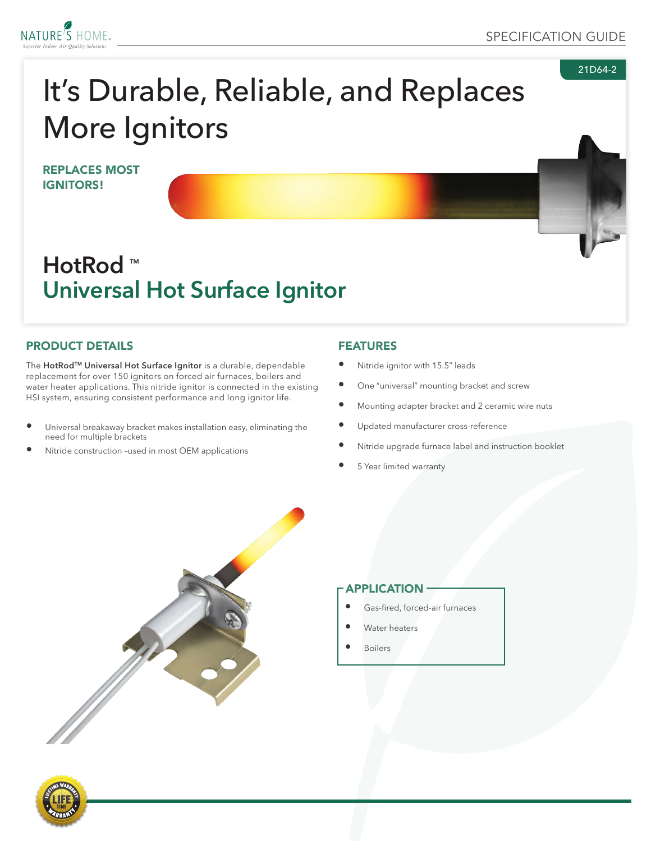

21D64-2



# It's Durable, Reliable, and Replaces More Ignitors

REPLACES MOST IGNITORS!

# **HotRod** ™ **Universal Hot Surface Ignitor**

#### PRODUCT DETAILS

The **HotRodTM Universal Hot Surface Ignitor** is a durable, dependable replacement for over 150 ignitors on forced air furnaces, boilers and water heater applications. This nitride ignitor is connected in the existing HSI system, ensuring consistent performance and long ignitor life.

- Universal breakaway bracket makes installation easy, eliminating the need for multiple brackets
- Nitride construction -used in most OEM applications

#### FEATURES

- Nitride ignitor with 15.5" leads
- One "universal" mounting bracket and screw
- Mounting adapter bracket and 2 ceramic wire nuts
- Updated manufacturer cross-reference
- Nitride upgrade furnace label and instruction booklet
- 5 Year limited warranty



#### APPLICATION

- Gas-fired, forced-air furnaces
- Water heaters
- **Boilers**